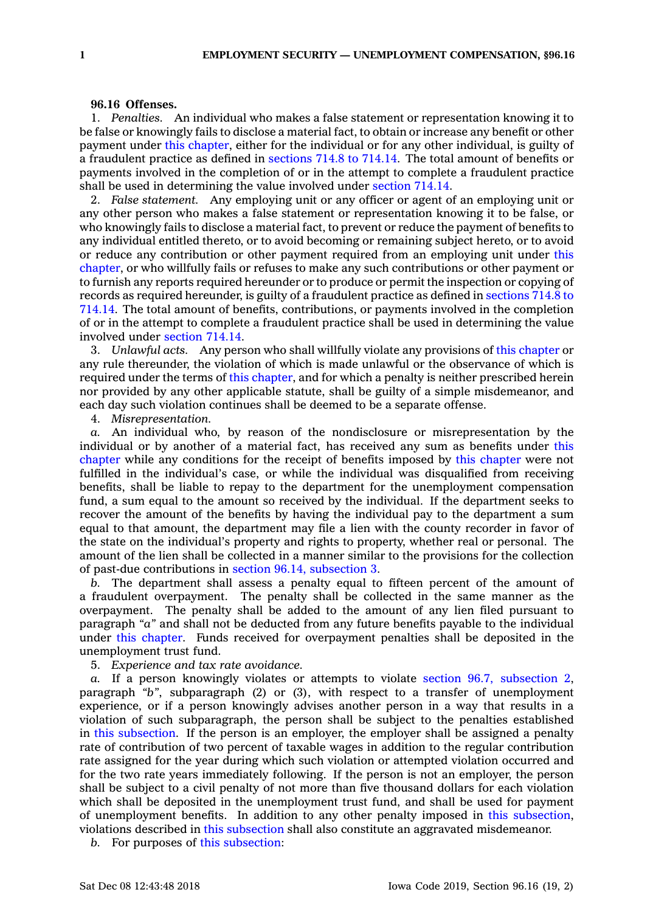## **96.16 Offenses.**

1. *Penalties.* An individual who makes <sup>a</sup> false statement or representation knowing it to be false or knowingly fails to disclose <sup>a</sup> material fact, to obtain or increase any benefit or other payment under this [chapter](https://www.legis.iowa.gov/docs/code//96.pdf), either for the individual or for any other individual, is guilty of <sup>a</sup> fraudulent practice as defined in [sections](https://www.legis.iowa.gov/docs/code/714.8.pdf) 714.8 to 714.14. The total amount of benefits or payments involved in the completion of or in the attempt to complete <sup>a</sup> fraudulent practice shall be used in determining the value involved under [section](https://www.legis.iowa.gov/docs/code/714.14.pdf) 714.14.

2. *False statement.* Any employing unit or any officer or agent of an employing unit or any other person who makes <sup>a</sup> false statement or representation knowing it to be false, or who knowingly fails to disclose <sup>a</sup> material fact, to prevent or reduce the payment of benefits to any individual entitled thereto, or to avoid becoming or remaining subject hereto, or to avoid or reduce any contribution or other payment required from an employing unit under [this](https://www.legis.iowa.gov/docs/code//96.pdf) [chapter](https://www.legis.iowa.gov/docs/code//96.pdf), or who willfully fails or refuses to make any such contributions or other payment or to furnish any reports required hereunder or to produce or permit the inspection or copying of records as required hereunder, is guilty of <sup>a</sup> fraudulent practice as defined in [sections](https://www.legis.iowa.gov/docs/code/714.8.pdf) 714.8 to [714.14](https://www.legis.iowa.gov/docs/code/714.8.pdf). The total amount of benefits, contributions, or payments involved in the completion of or in the attempt to complete <sup>a</sup> fraudulent practice shall be used in determining the value involved under [section](https://www.legis.iowa.gov/docs/code/714.14.pdf) 714.14.

3. *Unlawful acts.* Any person who shall willfully violate any provisions of this [chapter](https://www.legis.iowa.gov/docs/code//96.pdf) or any rule thereunder, the violation of which is made unlawful or the observance of which is required under the terms of this [chapter](https://www.legis.iowa.gov/docs/code//96.pdf), and for which <sup>a</sup> penalty is neither prescribed herein nor provided by any other applicable statute, shall be guilty of <sup>a</sup> simple misdemeanor, and each day such violation continues shall be deemed to be <sup>a</sup> separate offense.

4. *Misrepresentation.*

*a.* An individual who, by reason of the nondisclosure or misrepresentation by the individual or by another of <sup>a</sup> material fact, has received any sum as benefits under [this](https://www.legis.iowa.gov/docs/code//96.pdf) [chapter](https://www.legis.iowa.gov/docs/code//96.pdf) while any conditions for the receipt of benefits imposed by this [chapter](https://www.legis.iowa.gov/docs/code//96.pdf) were not fulfilled in the individual's case, or while the individual was disqualified from receiving benefits, shall be liable to repay to the department for the unemployment compensation fund, <sup>a</sup> sum equal to the amount so received by the individual. If the department seeks to recover the amount of the benefits by having the individual pay to the department <sup>a</sup> sum equal to that amount, the department may file <sup>a</sup> lien with the county recorder in favor of the state on the individual's property and rights to property, whether real or personal. The amount of the lien shall be collected in <sup>a</sup> manner similar to the provisions for the collection of past-due contributions in section 96.14, [subsection](https://www.legis.iowa.gov/docs/code/96.14.pdf) 3.

*b.* The department shall assess <sup>a</sup> penalty equal to fifteen percent of the amount of <sup>a</sup> fraudulent overpayment. The penalty shall be collected in the same manner as the overpayment. The penalty shall be added to the amount of any lien filed pursuant to paragraph *"a"* and shall not be deducted from any future benefits payable to the individual under this [chapter](https://www.legis.iowa.gov/docs/code//96.pdf). Funds received for overpayment penalties shall be deposited in the unemployment trust fund.

5. *Experience and tax rate avoidance.*

*a.* If <sup>a</sup> person knowingly violates or attempts to violate section 96.7, [subsection](https://www.legis.iowa.gov/docs/code/96.7.pdf) 2, paragraph *"b"*, subparagraph (2) or (3), with respect to <sup>a</sup> transfer of unemployment experience, or if <sup>a</sup> person knowingly advises another person in <sup>a</sup> way that results in <sup>a</sup> violation of such subparagraph, the person shall be subject to the penalties established in this [subsection](https://www.legis.iowa.gov/docs/code/96.16.pdf). If the person is an employer, the employer shall be assigned <sup>a</sup> penalty rate of contribution of two percent of taxable wages in addition to the regular contribution rate assigned for the year during which such violation or attempted violation occurred and for the two rate years immediately following. If the person is not an employer, the person shall be subject to <sup>a</sup> civil penalty of not more than five thousand dollars for each violation which shall be deposited in the unemployment trust fund, and shall be used for payment of unemployment benefits. In addition to any other penalty imposed in this [subsection](https://www.legis.iowa.gov/docs/code/96.16.pdf), violations described in this [subsection](https://www.legis.iowa.gov/docs/code/96.16.pdf) shall also constitute an aggravated misdemeanor.

*b.* For purposes of this [subsection](https://www.legis.iowa.gov/docs/code/96.16.pdf):